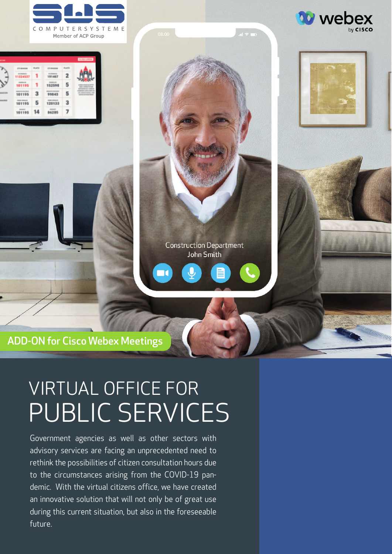









ADD-ON for Cisco Webex Meetings

# VIRTUAL OFFICE FOR PUBLIC SERVICES

Government agencies as well as other sectors with advisory services are facing an unprecedented need to rethink the possibilities of citizen consultation hours due to the circumstances arising from the COVID-19 pandemic. With the virtual citizens office, we have created an innovative solution that will not only be of great use during this current situation, but also in the foreseeable future.